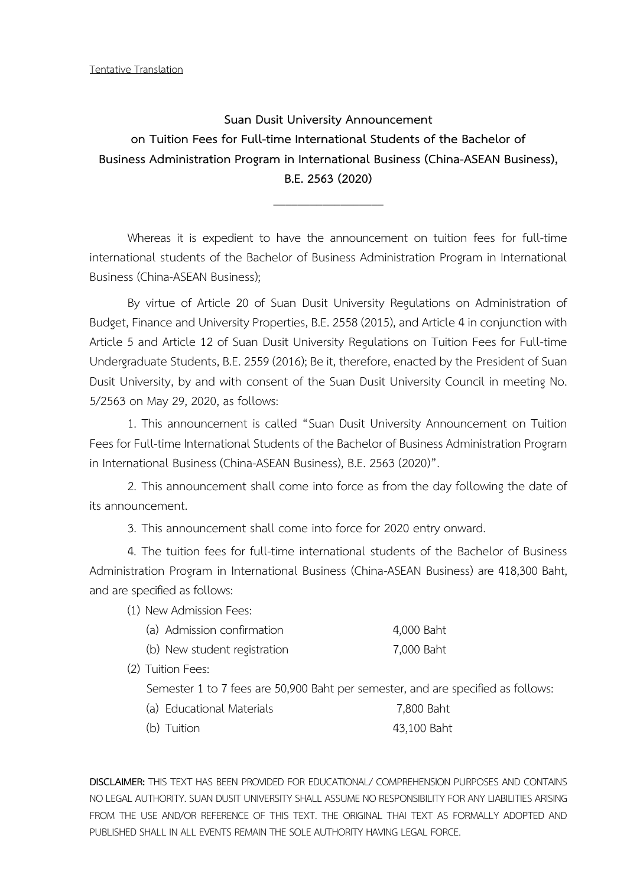Tentative Translation

**Suan Dusit University Announcement on Tuition Fees for Full-time International Students of the Bachelor of Business Administration Program in International Business (China-ASEAN Business), B.E. 2563 (2020)**

\_\_\_\_\_\_\_\_\_\_\_\_\_\_\_\_\_\_

Whereas it is expedient to have the announcement on tuition fees for full-time international students of the Bachelor of Business Administration Program in International Business (China-ASEAN Business);

By virtue of Article 20 of Suan Dusit University Regulations on Administration of Budget, Finance and University Properties, B.E. 2558 (2015), and Article 4 in conjunction with Article 5 and Article 12 of Suan Dusit University Regulations on Tuition Fees for Full-time Undergraduate Students, B.E. 2559 (2016); Be it, therefore, enacted by the President of Suan Dusit University, by and with consent of the Suan Dusit University Council in meeting No. 5/2563 on May 29, 2020, as follows:

1. This announcement is called "Suan Dusit University Announcement on Tuition Fees for Full-time International Students of the Bachelor of Business Administration Program in International Business (China-ASEAN Business), B.E. 2563 (2020)".

2. This announcement shall come into force as from the day following the date of its announcement.

3. This announcement shall come into force for 2020 entry onward.

4. The tuition fees for full-time international students of the Bachelor of Business Administration Program in International Business (China-ASEAN Business) are 418,300 Baht, and are specified as follows:

(1) New Admission Fees:

| (a) Admission confirmation   | 4,000 Baht |
|------------------------------|------------|
| (b) New student registration | 7,000 Baht |

(2) Tuition Fees:

Semester 1 to 7 fees are 50,900 Baht per semester, and are specified as follows:

| (a) Educational Materials | 7,800 Baht |
|---------------------------|------------|
|---------------------------|------------|

(b) Tuition 43,100 Baht

**DISCLAIMER:** THIS TEXT HAS BEEN PROVIDED FOR EDUCATIONAL/ COMPREHENSION PURPOSES AND CONTAINS NO LEGAL AUTHORITY. SUAN DUSIT UNIVERSITY SHALL ASSUME NO RESPONSIBILITY FOR ANY LIABILITIES ARISING FROM THE USE AND/OR REFERENCE OF THIS TEXT. THE ORIGINAL THAI TEXT AS FORMALLY ADOPTED AND PUBLISHED SHALL IN ALL EVENTS REMAIN THE SOLE AUTHORITY HAVING LEGAL FORCE.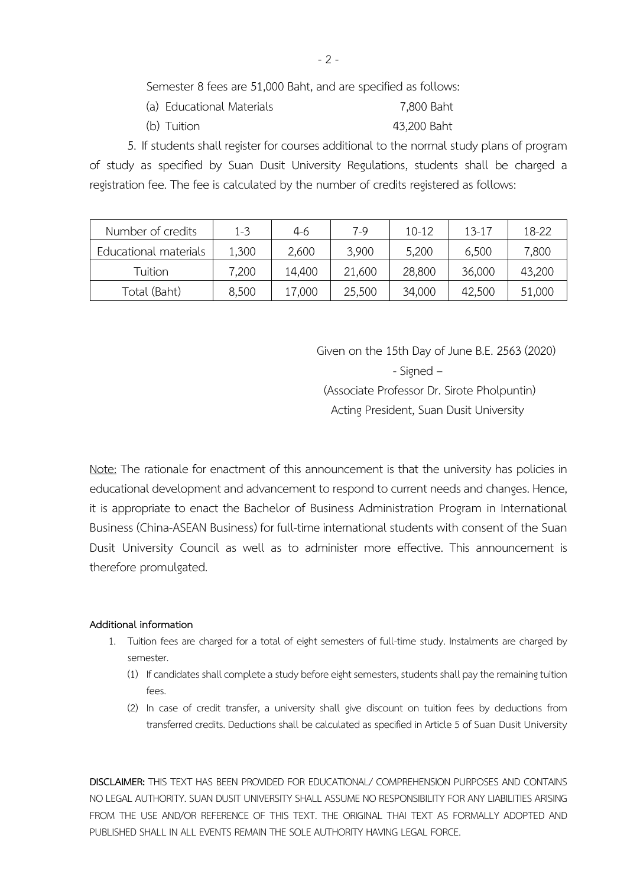Semester 8 fees are 51,000 Baht, and are specified as follows:

- (a) Educational Materials 7,800 Baht
- (b) Tuition 43,200 Baht

5. If students shall register for courses additional to the normal study plans of program of study as specified by Suan Dusit University Regulations, students shall be charged a registration fee. The fee is calculated by the number of credits registered as follows:

| Number of credits     | $1 - 3$ | $4-6$  | $7-9$  | $10 - 12$ | $13 - 17$ | 18-22  |
|-----------------------|---------|--------|--------|-----------|-----------|--------|
| Educational materials | 1,300   | 2,600  | 3,900  | 5,200     | 6,500     | 7,800  |
| Tuition               | 7,200   | 14,400 | 21,600 | 28,800    | 36,000    | 43,200 |
| Total (Baht)          | 8,500   | 17,000 | 25,500 | 34,000    | 42,500    | 51,000 |

Given on the 15th Day of June B.E. 2563 (2020) - Signed – (Associate Professor Dr. Sirote Pholpuntin) Acting President, Suan Dusit University

Note: The rationale for enactment of this announcement is that the university has policies in educational development and advancement to respond to current needs and changes. Hence, it is appropriate to enact the Bachelor of Business Administration Program in International Business (China-ASEAN Business) for full-time international students with consent of the Suan Dusit University Council as well as to administer more effective. This announcement is therefore promulgated.

## **Additional information**

- 1. Tuition fees are charged for a total of eight semesters of full-time study. Instalments are charged by semester.
	- (1) If candidates shall complete a study before eight semesters, students shall pay the remaining tuition fees.
	- (2) In case of credit transfer, a university shall give discount on tuition fees by deductions from transferred credits. Deductions shall be calculated as specified in Article 5 of Suan Dusit University

**DISCLAIMER:** THIS TEXT HAS BEEN PROVIDED FOR EDUCATIONAL/ COMPREHENSION PURPOSES AND CONTAINS NO LEGAL AUTHORITY. SUAN DUSIT UNIVERSITY SHALL ASSUME NO RESPONSIBILITY FOR ANY LIABILITIES ARISING FROM THE USE AND/OR REFERENCE OF THIS TEXT. THE ORIGINAL THAI TEXT AS FORMALLY ADOPTED AND PUBLISHED SHALL IN ALL EVENTS REMAIN THE SOLE AUTHORITY HAVING LEGAL FORCE.